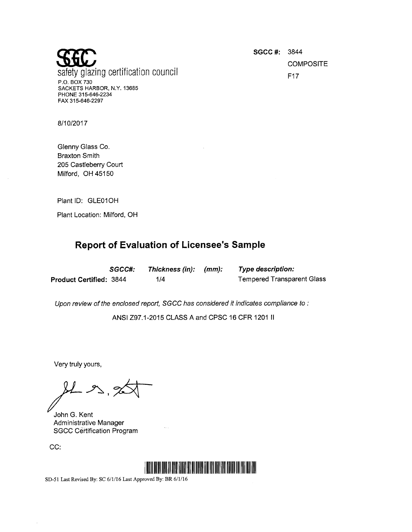saitly ! P.O. BOX 730 glazing certification council W examples of the set of the set of the set of the set of the set of the set of the set of the set of the set of the set of the set of the set of the set of the set of the set of the set of th SACKETS HARBOR, N.Y. 13685 PHONE 315-646-2234 FAX 315-646-2297

**SGCC #: 3844 COMPOSITE** 

8/10/2017

Glenny Glass Co. Braxton Smith 205 Castleberry Court Milford, OH 45150

Plant ID: GLEO1OH

Plant Location: Milford, OH

## Report of Evaluation of Licensee's Sample

p

|                         | SGCC#: | Thickness (in): (mm): | <b>Type description:</b>          |
|-------------------------|--------|-----------------------|-----------------------------------|
| Product Certified: 3844 |        | 1/4                   | <b>Tempered Transparent Glass</b> |

Upon review of the enclosed report, SGCC has considered it indicates compliance to :

ANSI Z97.1-2015 CLASS A and CPSC 16 CFR 1201 ll

Very truly yours,

 $213$ 

John G. Kent Administrative Manager SGCC Certification Program

CC:

 $\bar{z}$ 



SD-51 Last Revised By: SC 6/1/16 Last Approved By: BR 6/1/16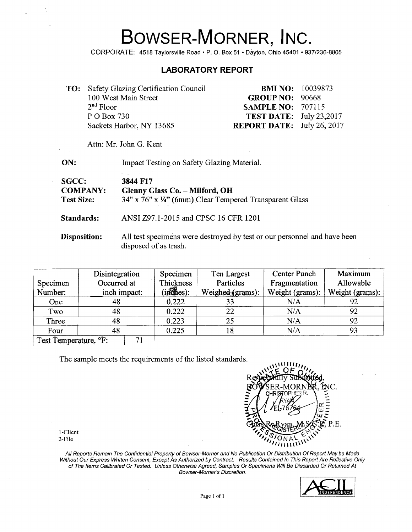## BOWSER-MORNER, INC.

CORPORATE: 4518 Taylorsville Road · P. O. Box 51 · Dayton, Ohio 45401 · 937/236-8805

## **LABORATORY REPORT**

| <b>TO:</b> Safety Glazing Certification Council |                                   | <b>BMI NO:</b> 10039873 |
|-------------------------------------------------|-----------------------------------|-------------------------|
| 100 West Main Street                            | <b>GROUP NO: 90668</b>            |                         |
| $2nd$ Floor                                     | <b>SAMPLE NO: 707115</b>          |                         |
| P O Box 730                                     | <b>TEST DATE:</b> July 23,2017    |                         |
| Sackets Harbor, NY 13685                        | <b>REPORT DATE:</b> July 26, 2017 |                         |

Attn: Mr. John G. Kent

| ON:                                                  | Impact Testing on Safety Glazing Material.                                                                              |
|------------------------------------------------------|-------------------------------------------------------------------------------------------------------------------------|
| <b>SGCC:</b><br><b>COMPANY:</b><br><b>Test Size:</b> | 25 Sales Corp.<br>3844 F17<br>Glenny Glass Co. - Milford, OH<br>34" x 76" x 1/4" (6mm) Clear Tempered Transparent Glass |
| Standards:                                           | ANSI Z97.1-2015 and CPSC 16 CFR 1201                                                                                    |
| Disposition:                                         | All test specimens were destroyed by test or our personnel and have been<br>disposed of as trash.                       |

| Specimen<br>Number:               | Disintegration<br>Occurred at<br>inch impact: |   | Specimen<br>Thickness<br>$(in\widehat{c}hes):$ | Ten Largest<br>Particles<br>Weighed (grams): | Center Punch<br>Fragmentation<br>Weight (grams): | Maximum<br>Allowable<br>Weight (grams): |
|-----------------------------------|-----------------------------------------------|---|------------------------------------------------|----------------------------------------------|--------------------------------------------------|-----------------------------------------|
| One                               | 48                                            |   | 0.222                                          | 33                                           | N/A                                              | 92                                      |
| Two                               | 48                                            |   | 0.222                                          | 22                                           | N/A                                              | 92                                      |
| Three                             | 48                                            |   | 0.223                                          | 25                                           | N/A                                              | 92                                      |
| Four                              | 48                                            |   | 0.225                                          | 18                                           | N/A                                              | 93                                      |
| Test Temperature. <sup>o</sup> F: |                                               | ⇁ |                                                |                                              |                                                  |                                         |

The sample meets the requirements of the listed standards.



1-Client 2-File

All Reports Remain The Confidential Property of Bowser-Morner and No Publication Or Distribution Of Report May be Made Without Our Express Written Consent, Except As Authorized by Contract. Results Contained In This Report Are Reflective Only of The Items Calibrated Or Tested. Unless Otherwise Agreed, Samples Or Specimens Will Be Discarded Or Returned At Bowser-Morner's Discretion.